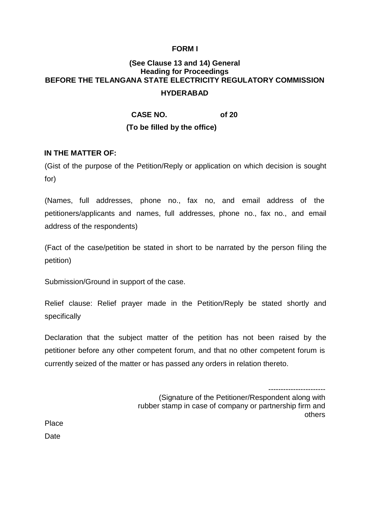### **FORM I**

# **(See Clause 13 and 14) General Heading for Proceedings BEFORE THE TELANGANA STATE ELECTRICITY REGULATORY COMMISSION HYDERABAD**

**CASE NO. of 20** 

## **(To be filled by the office)**

#### **IN THE MATTER OF:**

(Gist of the purpose of the Petition/Reply or application on which decision is sought for)

(Names, full addresses, phone no., fax no, and email address of the petitioners/applicants and names, full addresses, phone no., fax no., and email address of the respondents)

(Fact of the case/petition be stated in short to be narrated by the person filing the petition)

Submission/Ground in support of the case.

Relief clause: Relief prayer made in the Petition/Reply be stated shortly and specifically

Declaration that the subject matter of the petition has not been raised by the petitioner before any other competent forum, and that no other competent forum is currently seized of the matter or has passed any orders in relation thereto.

-----------------------

(Signature of the Petitioner/Respondent along with rubber stamp in case of company or partnership firm and others

Place **Date**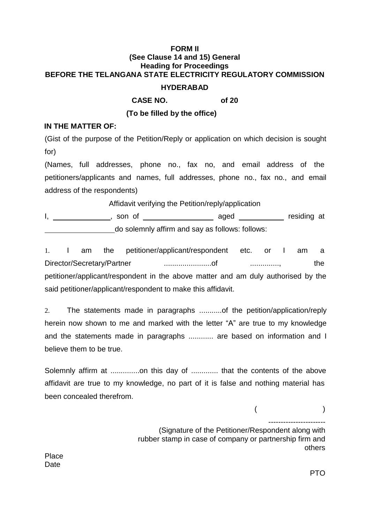## **FORM II (See Clause 14 and 15) General Heading for Proceedings BEFORE THE TELANGANA STATE ELECTRICITY REGULATORY COMMISSION HYDERABAD**

**CASE NO. of 20**

**(To be filled by the office)**

## **IN THE MATTER OF:**

(Gist of the purpose of the Petition/Reply or application on which decision is sought for)

(Names, full addresses, phone no., fax no, and email address of the petitioners/applicants and names, full addresses, phone no., fax no., and email address of the respondents)

Affidavit verifying the Petition/reply/application

I, \_\_\_\_\_\_\_\_\_\_\_\_\_\_, son of \_\_\_\_\_\_\_\_\_\_\_\_\_\_\_\_\_\_\_\_\_\_ aged \_\_\_\_\_\_\_\_\_\_\_\_ residing at do solemnly affirm and say as follows: follows:

1. I am the petitioner/applicant/respondent etc. or I am a Director/Secretary/Partner .......................of .............., the petitioner/applicant/respondent in the above matter and am duly authorised by the said petitioner/applicant/respondent to make this affidavit.

2. The statements made in paragraphs ...........of the petition/application/reply herein now shown to me and marked with the letter "A" are true to my knowledge and the statements made in paragraphs ............ are based on information and I believe them to be true.

Solemnly affirm at ................on this day of ............... that the contents of the above affidavit are true to my knowledge, no part of it is false and nothing material has been concealed therefrom.

 $($  )

-----------------------

(Signature of the Petitioner/Respondent along with rubber stamp in case of company or partnership firm and others

Place **Date**